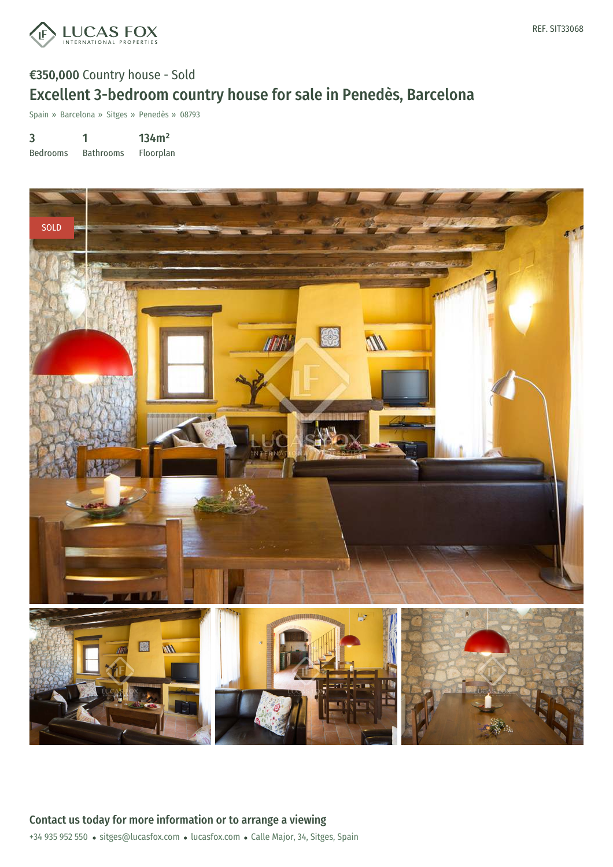

# €350,000 Country house - Sold Excellent 3-bedroom country house for sale in Penedès, Barcelona

Spain » Barcelona » Sitges » Penedès » 08793

3 Bedrooms 1 Bathrooms 134m² Floorplan



+34 935 952 550 · sitges@lucasfox.com · lucasfox.com · Calle Major, 34, Sitges, Spain Contact us today for more information or to arrange a viewing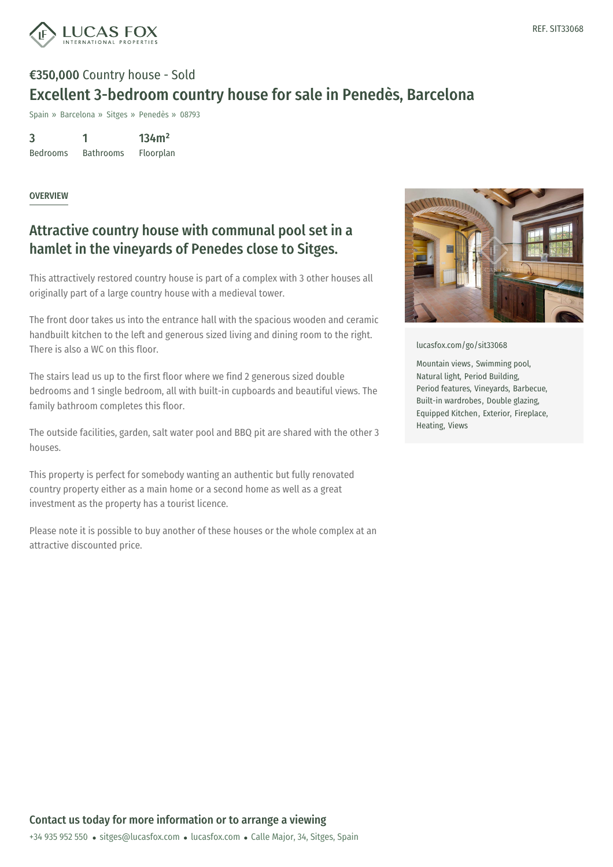

# €350,000 Country house - Sold Excellent 3-bedroom country house for sale in Penedès, Barcelona

Spain » Barcelona » Sitges » Penedès » 08793

3 Bedrooms 1 Bathrooms 134m² Floorplan

#### OVERVIEW

### Attractive country house with communal pool set in a hamlet in the vineyards of Penedes close to Sitges.

This attractively restored country house is part of a complex with 3 other houses all originally part of a large country house with a medieval tower.

The front door takes us into the entrance hall with the spacious wooden and ceramic handbuilt kitchen to the left and generous sized living and dining room to the right. There is also a WC on this floor.

The stairs lead us up to the first floor where we find 2 generous sized double bedrooms and 1 single bedroom, all with built-in cupboards and beautiful views. The family bathroom completes this floor.

The outside facilities, garden, salt water pool and BBQ pit are shared with the other 3 houses.

This property is perfect for somebody wanting an authentic but fully renovated country property either as a main home or a second home as well as a great investment as the property has a tourist licence.

Please note it is possible to buy another of these houses or the whole complex at an attractive discounted price.



[lucasfox.com/go/sit33068](https://www.lucasfox.com/go/sit33068)

Mountain views, Swimming pool, Natural light, Period Building, Period features, Vineyards, Barbecue, Built-in wardrobes, Double glazing, Equipped Kitchen, Exterior, Fireplace, Heating, Views